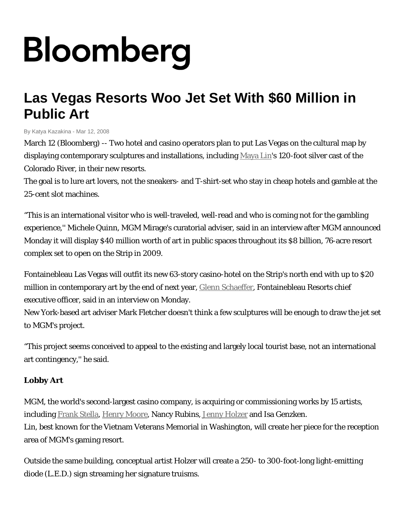## Bloomberg

## **Las Vegas Resorts Woo Jet Set With \$60 Million in Public Art**

By Katya Kazakina - Mar 12, 2008

March 12 (Bloomberg) -- Two hotel and casino operators plan to put Las Vegas on the cultural map by displaying contemporary sculptures and installations, including [Maya](http://search.bloomberg.com/search?q=Maya+Lin&site=wnews&client=wnews&proxystylesheet=en10_wnews&output=xml_no_dtd&ie=UTF-8&oe=UTF-8&filter=p&getfields=wnnis&sort=date:D:S:d1) Lin's 120-foot silver cast of the Colorado River, in their new resorts.

The goal is to lure art lovers, not the sneakers- and T-shirt-set who stay in cheap hotels and gamble at the 25-cent slot machines.

"This is an international visitor who is well-traveled, well-read and who is coming not for the gambling experience,'' Michele Quinn, MGM Mirage's curatorial adviser, said in an interview after MGM announced Monday it will display \$40 million worth of art in public spaces throughout its \$8 billion, 76-acre resort complex set to open on the Strip in 2009.

Fontainebleau Las Vegas will outfit its new 63-story casino-hotel on the Strip's north end with up to \$20 million in contemporary art by the end of next year, *Glenn Schaeffer*, Fontainebleau Resorts chief executive officer, said in an interview on Monday.

New York-based art adviser Mark Fletcher doesn't think a few sculptures will be enough to draw the jet set to MGM's project.

"This project seems conceived to appeal to the existing and largely local tourist base, not an international art contingency,'' he said.

## **Lobby Art**

MGM, the world's second-largest casino company, is acquiring or commissioning works by 15 artists, including [Frank](http://search.bloomberg.com/search?q=Frank%0AStella&site=wnews&client=wnews&proxystylesheet=en10_wnews&output=xml_no_dtd&ie=UTF-8&oe=UTF-8&filter=p&getfields=wnnis&sort=date:D:S:d1) Stella, Henry [Moore,](http://search.bloomberg.com/search?q=Henry+Moore&site=wnews&client=wnews&proxystylesheet=en10_wnews&output=xml_no_dtd&ie=UTF-8&oe=UTF-8&filter=p&getfields=wnnis&sort=date:D:S:d1) Nancy Rubins, Jenny [Holzer](http://search.bloomberg.com/search?q=Jenny+Holzer&site=wnews&client=wnews&proxystylesheet=en10_wnews&output=xml_no_dtd&ie=UTF-8&oe=UTF-8&filter=p&getfields=wnnis&sort=date:D:S:d1) and Isa Genzken. Lin, best known for the Vietnam Veterans Memorial in Washington, will create her piece for the reception area of MGM's gaming resort.

Outside the same building, conceptual artist Holzer will create a 250- to 300-foot-long light-emitting diode (L.E.D.) sign streaming her signature truisms.